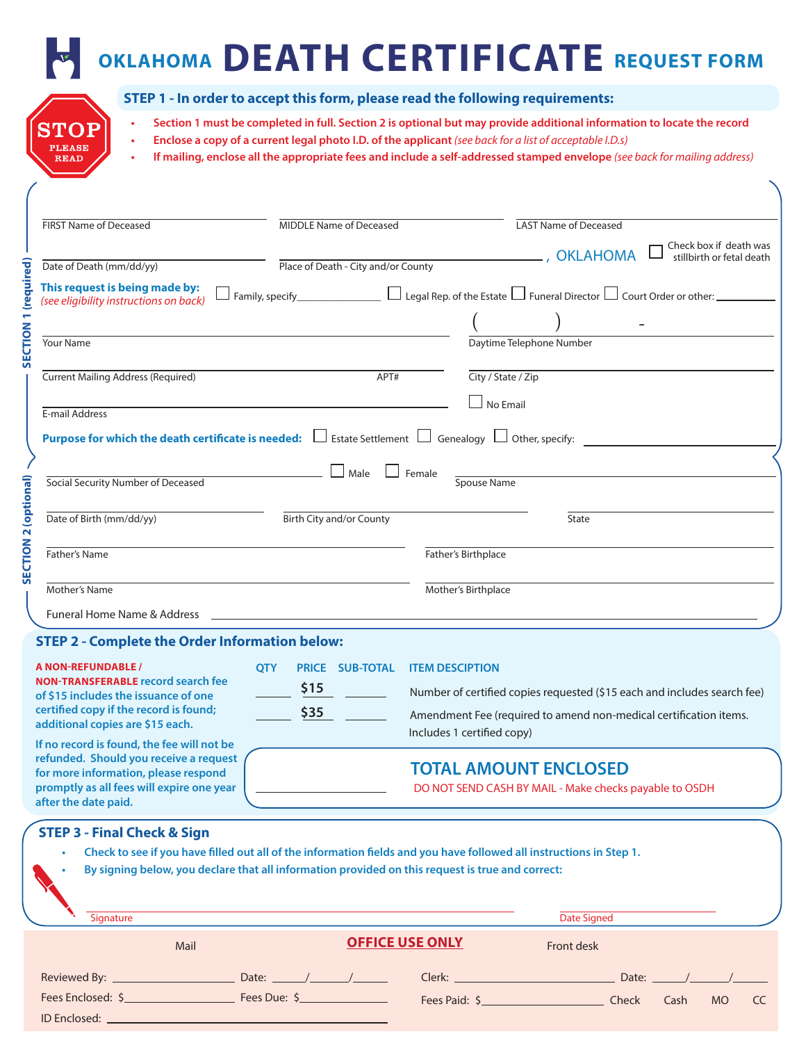# **OKLAHOMA DEATH CERTIFICATE REQUEST FORM**

| <b>STO</b>    |  |
|---------------|--|
| <b>PLEASE</b> |  |
| <b>READ</b>   |  |

ID Enclosed:

#### **STEP 1 - In order to accept this form, please read the following requirements:**

- **• Section 1 must be completed in full. Section 2 is optional but may provide additional information to locate the record • Enclose a copy of a current legal photo I.D. of the applicant** *(see back for a list of acceptable I.D.s)* **• If mailing, enclose all the appropriate fees and include a self-addressed stamped envelope** *(see back for mailing address)*
- FIRST Name of Deceased **MIDDLE Name of Deceased** LAST Name of Deceased Check box if death was Date of Death (mm/dd/yy) <br>
Place of Death - City and/or County , OKLAHOMA stillbirth or fetal death **SECTION 1 (required) SECTION 1 (required) This request is being made by:**   $\Box$  Family, specify\_\_\_\_\_\_\_\_\_\_\_\_\_\_\_\_  $\Box$  Legal Rep. of the Estate  $\Box$  Funeral Director  $\Box$  Court Order or other: \_\_ *(see eligibility instructions on back)*  $($  )  $-$ Your Name Daytime Telephone Number Current Mailing Address (Required) APT# City / State / Zip  $\Box$  No Email E-mail Address **Purpose for which the death certificate is needed:**  $\Box$  Estate Settlement  $\Box$  Genealogy  $\Box$  Other, specify:  $\overline{\text{Social Security Number of Deceased}}$   $\Box$  Male  $\Box$  Female **SECTION 2 (optional)**  SECTION 2 (optional) Spouse Name Date of Birth (mm/dd/yy) Birth City and/or County Birth City and Or County **Father's Name Father's Name Father's Name Father's Birthplace** Mother's Name Mother's Birthplace Funeral Home Name & Address

#### **STEP 2 - Complete the Order Information below:**

| <b>A NON-REFUNDABLE /</b><br><b>NON-TRANSFERABLE record search fee</b><br>of \$15 includes the issuance of one<br>certified copy if the record is found;<br>additional copies are \$15 each.<br>If no record is found, the fee will not be | <b>OTY</b><br><b>SUB-TOTAL</b><br><b>PRICE</b><br>\$15<br>\$35 | <b>ITEM DESCIPTION</b><br>Number of certified copies requested (\$15 each and includes search fee)<br>Amendment Fee (required to amend non-medical certification items.<br>Includes 1 certified copy)                                         |
|--------------------------------------------------------------------------------------------------------------------------------------------------------------------------------------------------------------------------------------------|----------------------------------------------------------------|-----------------------------------------------------------------------------------------------------------------------------------------------------------------------------------------------------------------------------------------------|
| refunded. Should you receive a request<br>for more information, please respond<br>promptly as all fees will expire one year<br>after the date paid.                                                                                        |                                                                | <b>TOTAL AMOUNT ENCLOSED</b><br>DO NOT SEND CASH BY MAIL - Make checks payable to OSDH                                                                                                                                                        |
| <b>STEP 3 - Final Check &amp; Sign</b><br>٠<br>Signature                                                                                                                                                                                   |                                                                | Check to see if you have filled out all of the information fields and you have followed all instructions in Step 1.<br>By signing below, you declare that all information provided on this request is true and correct:<br><b>Date Signed</b> |
| Mail                                                                                                                                                                                                                                       |                                                                | <b>OFFICE USE ONLY</b><br>Front desk                                                                                                                                                                                                          |